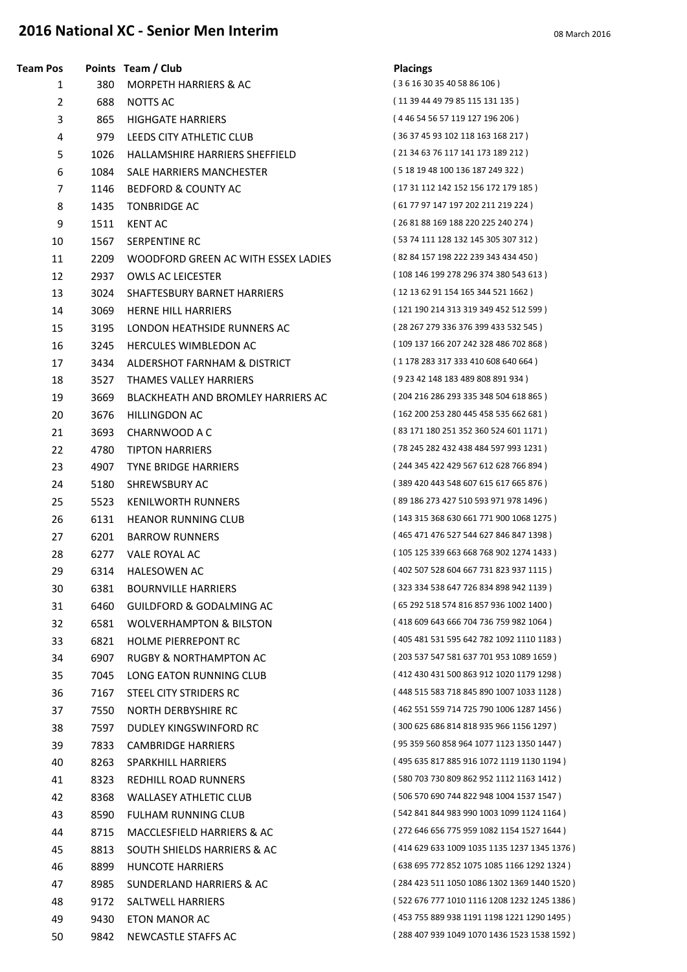## **2016 National XC - Senior Men Interim 1997 12016** March 2016

| Team Pos       |      | Points Team / Club                  | <b>Placings</b>                             |
|----------------|------|-------------------------------------|---------------------------------------------|
| 1              | 380  | <b>MORPETH HARRIERS &amp; AC</b>    | (36163035405886106)                         |
| $\overline{2}$ | 688  | NOTTS AC                            | (11 39 44 49 79 85 115 131 135 )            |
| 3              | 865  | <b>HIGHGATE HARRIERS</b>            | (446545657119127196206)                     |
| 4              | 979  | LEEDS CITY ATHLETIC CLUB            | (36374593102118163168217)                   |
| 5              | 1026 | HALLAMSHIRE HARRIERS SHEFFIELD      | (21 34 63 76 117 141 173 189 212)           |
| 6              | 1084 | SALE HARRIERS MANCHESTER            | (5181948100136187249322)                    |
| $\overline{7}$ | 1146 | <b>BEDFORD &amp; COUNTY AC</b>      | (17 31 112 142 152 156 172 179 185)         |
| 8              | 1435 | <b>TONBRIDGE AC</b>                 | (61 77 97 147 197 202 211 219 224)          |
| 9              | 1511 | <b>KENT AC</b>                      | (26 81 88 169 188 220 225 240 274)          |
| 10             | 1567 | SERPENTINE RC                       | (53 74 111 128 132 145 305 307 312 )        |
| 11             | 2209 | WOODFORD GREEN AC WITH ESSEX LADIES | (82 84 157 198 222 239 343 434 450)         |
| 12             | 2937 | <b>OWLS AC LEICESTER</b>            | (108 146 199 278 296 374 380 543 613)       |
| 13             | 3024 | SHAFTESBURY BARNET HARRIERS         | (12 13 62 91 154 165 344 521 1662)          |
| 14             | 3069 | <b>HERNE HILL HARRIERS</b>          | (121 190 214 313 319 349 452 512 599)       |
| 15             | 3195 | LONDON HEATHSIDE RUNNERS AC         | (28 267 279 336 376 399 433 532 545)        |
| 16             | 3245 | <b>HERCULES WIMBLEDON AC</b>        | (109 137 166 207 242 328 486 702 868)       |
| 17             | 3434 | ALDERSHOT FARNHAM & DISTRICT        | (1178 283 317 333 410 608 640 664)          |
| 18             | 3527 | THAMES VALLEY HARRIERS              | (9 23 42 148 183 489 808 891 934)           |
| 19             | 3669 | BLACKHEATH AND BROMLEY HARRIERS AC  | (204 216 286 293 335 348 504 618 865)       |
| 20             | 3676 | HILLINGDON AC                       | (162 200 253 280 445 458 535 662 681)       |
| 21             | 3693 | CHARNWOOD A C                       | (83 171 180 251 352 360 524 601 1171)       |
| 22             | 4780 | <b>TIPTON HARRIERS</b>              | (78 245 282 432 438 484 597 993 1231)       |
| 23             | 4907 | <b>TYNE BRIDGE HARRIERS</b>         | (244 345 422 429 567 612 628 766 894)       |
| 24             | 5180 | SHREWSBURY AC                       | (389 420 443 548 607 615 617 665 876)       |
| 25             | 5523 | <b>KENILWORTH RUNNERS</b>           | (89 186 273 427 510 593 971 978 1496)       |
| 26             | 6131 | <b>HEANOR RUNNING CLUB</b>          | (143 315 368 630 661 771 900 1068 1275)     |
| 27             | 6201 | <b>BARROW RUNNERS</b>               | (465 471 476 527 544 627 846 847 1398)      |
| 28             | 6277 | VALE ROYAL AC                       | (105 125 339 663 668 768 902 1274 1433)     |
| 29             | 6314 | <b>HALESOWEN AC</b>                 | (402 507 528 604 667 731 823 937 1115)      |
| 30             | 6381 | <b>BOURNVILLE HARRIERS</b>          | (323 334 538 647 726 834 898 942 1139)      |
| 31             | 6460 | GUILDFORD & GODALMING AC            | (65 292 518 574 816 857 936 1002 1400)      |
| 32             | 6581 | <b>WOLVERHAMPTON &amp; BILSTON</b>  | (418 609 643 666 704 736 759 982 1064)      |
| 33             | 6821 | <b>HOLME PIERREPONT RC</b>          | (405 481 531 595 642 782 1092 1110 1183)    |
| 34             | 6907 | RUGBY & NORTHAMPTON AC              | (203 537 547 581 637 701 953 1089 1659)     |
| 35             | 7045 | LONG EATON RUNNING CLUB             | (412 430 431 500 863 912 1020 1179 1298)    |
| 36             | 7167 | STEEL CITY STRIDERS RC              | (448 515 583 718 845 890 1007 1033 1128)    |
| 37             | 7550 | NORTH DERBYSHIRE RC                 | (462 551 559 714 725 790 1006 1287 1456)    |
| 38             | 7597 | DUDLEY KINGSWINFORD RC              | (300 625 686 814 818 935 966 1156 1297)     |
| 39             | 7833 | <b>CAMBRIDGE HARRIERS</b>           | (95 359 560 858 964 1077 1123 1350 1447)    |
| 40             | 8263 | <b>SPARKHILL HARRIERS</b>           | (495 635 817 885 916 1072 1119 1130 1194)   |
| 41             | 8323 | REDHILL ROAD RUNNERS                | (580 703 730 809 862 952 1112 1163 1412)    |
| 42             | 8368 | <b>WALLASEY ATHLETIC CLUB</b>       | (506 570 690 744 822 948 1004 1537 1547)    |
| 43             | 8590 | <b>FULHAM RUNNING CLUB</b>          | (542 841 844 983 990 1003 1099 1124 1164)   |
| 44             | 8715 | MACCLESFIELD HARRIERS & AC          | (272 646 656 775 959 1082 1154 1527 1644)   |
| 45             | 8813 | SOUTH SHIELDS HARRIERS & AC         | (414 629 633 1009 1035 1135 1237 1345 1376) |
| 46             | 8899 | <b>HUNCOTE HARRIERS</b>             | (638 695 772 852 1075 1085 1166 1292 1324)  |
| 47             | 8985 | SUNDERLAND HARRIERS & AC            | (284 423 511 1050 1086 1302 1369 1440 1520) |
| 48             | 9172 | SALTWELL HARRIERS                   | (522 676 777 1010 1116 1208 1232 1245 1386) |
| 49             | 9430 | ETON MANOR AC                       | (453 755 889 938 1191 1198 1221 1290 1495 ) |
| 50             | 9842 | NEWCASTLE STAFFS AC                 | (288 407 939 1049 1070 1436 1523 1538 1592) |